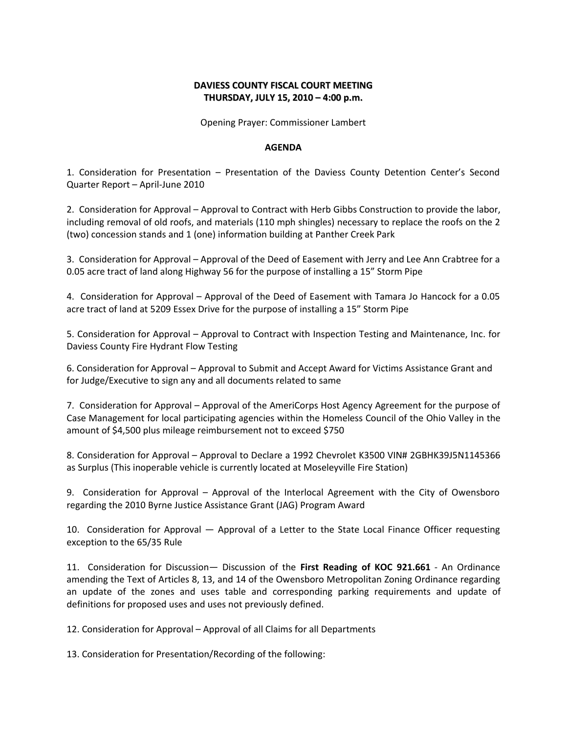## **DAVIESS COUNTY FISCAL COURT MEETING THURSDAY, JULY 15, 2010 – 4:00 p.m.**

Opening Prayer: Commissioner Lambert

## **AGENDA**

1. Consideration for Presentation – Presentation of the Daviess County Detention Center's Second Quarter Report – April-June 2010

2. Consideration for Approval – Approval to Contract with Herb Gibbs Construction to provide the labor, including removal of old roofs, and materials (110 mph shingles) necessary to replace the roofs on the 2 (two) concession stands and 1 (one) information building at Panther Creek Park

3. Consideration for Approval – Approval of the Deed of Easement with Jerry and Lee Ann Crabtree for a 0.05 acre tract of land along Highway 56 for the purpose of installing a 15" Storm Pipe

4. Consideration for Approval – Approval of the Deed of Easement with Tamara Jo Hancock for a 0.05 acre tract of land at 5209 Essex Drive for the purpose of installing a 15" Storm Pipe

5. Consideration for Approval – Approval to Contract with Inspection Testing and Maintenance, Inc. for Daviess County Fire Hydrant Flow Testing

6. Consideration for Approval – Approval to Submit and Accept Award for Victims Assistance Grant and for Judge/Executive to sign any and all documents related to same

7. Consideration for Approval – Approval of the AmeriCorps Host Agency Agreement for the purpose of Case Management for local participating agencies within the Homeless Council of the Ohio Valley in the amount of \$4,500 plus mileage reimbursement not to exceed \$750

8. Consideration for Approval – Approval to Declare a 1992 Chevrolet K3500 VIN# 2GBHK39J5N1145366 as Surplus (This inoperable vehicle is currently located at Moseleyville Fire Station)

9. Consideration for Approval – Approval of the Interlocal Agreement with the City of Owensboro regarding the 2010 Byrne Justice Assistance Grant (JAG) Program Award

10. Consideration for Approval — Approval of a Letter to the State Local Finance Officer requesting exception to the 65/35 Rule

11. Consideration for Discussion— Discussion of the **First Reading of KOC 921.661** - An Ordinance amending the Text of Articles 8, 13, and 14 of the Owensboro Metropolitan Zoning Ordinance regarding an update of the zones and uses table and corresponding parking requirements and update of definitions for proposed uses and uses not previously defined.

12. Consideration for Approval – Approval of all Claims for all Departments

13. Consideration for Presentation/Recording of the following: